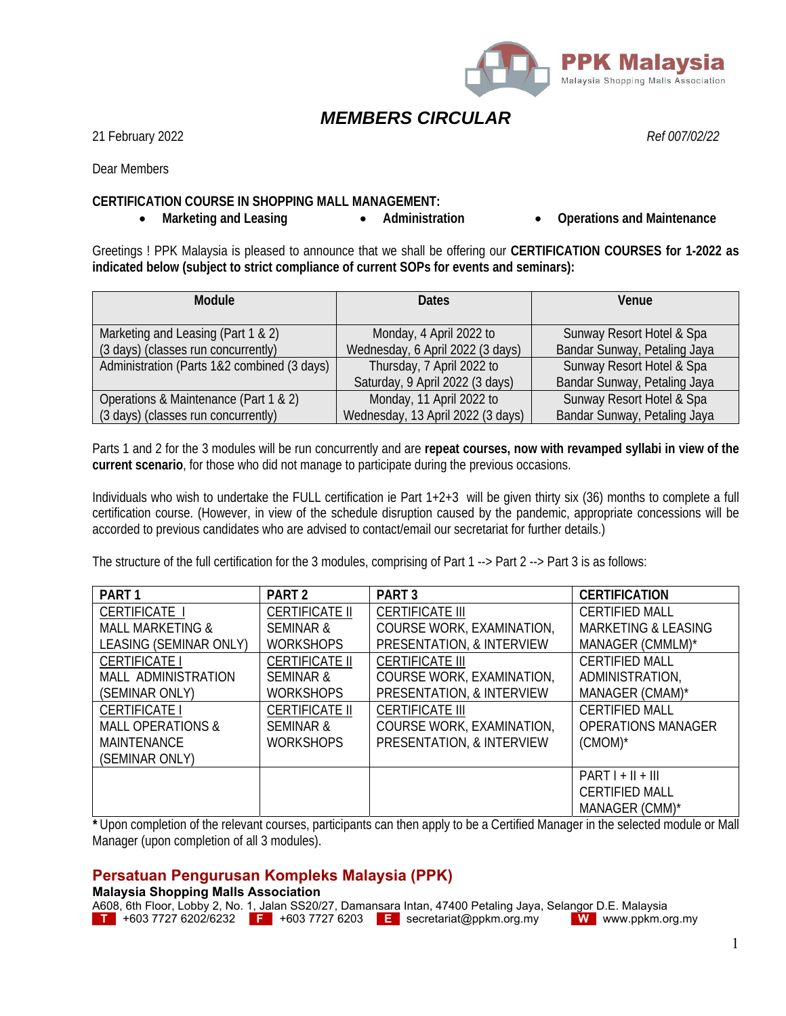

# *MEMBERS CIRCULAR*

21 February 2022 *Ref 007/02/22*

Dear Members

### **CERTIFICATION COURSE IN SHOPPING MALL MANAGEMENT:**

• Marketing and Leasing **•** Administration • Operations and Maintenance

Greetings ! PPK Malaysia is pleased to announce that we shall be offering our **CERTIFICATION COURSES for 1-2022 as indicated below (subject to strict compliance of current SOPs for events and seminars):** 

| Module                                      | <b>Dates</b>                      | Venue                        |  |
|---------------------------------------------|-----------------------------------|------------------------------|--|
|                                             |                                   |                              |  |
| Marketing and Leasing (Part 1 & 2)          | Monday, 4 April 2022 to           | Sunway Resort Hotel & Spa    |  |
| (3 days) (classes run concurrently)         | Wednesday, 6 April 2022 (3 days)  | Bandar Sunway, Petaling Jaya |  |
| Administration (Parts 1&2 combined (3 days) | Thursday, 7 April 2022 to         | Sunway Resort Hotel & Spa    |  |
|                                             | Saturday, 9 April 2022 (3 days)   | Bandar Sunway, Petaling Jaya |  |
| Operations & Maintenance (Part 1 & 2)       | Monday, 11 April 2022 to          | Sunway Resort Hotel & Spa    |  |
| (3 days) (classes run concurrently)         | Wednesday, 13 April 2022 (3 days) | Bandar Sunway, Petaling Jaya |  |

Parts 1 and 2 for the 3 modules will be run concurrently and are **repeat courses, now with revamped syllabi in view of the current scenario**, for those who did not manage to participate during the previous occasions.

Individuals who wish to undertake the FULL certification ie Part 1+2+3 will be given thirty six (36) months to complete a full certification course. (However, in view of the schedule disruption caused by the pandemic, appropriate concessions will be accorded to previous candidates who are advised to contact/email our secretariat for further details.)

The structure of the full certification for the 3 modules, comprising of Part 1 --> Part 2 --> Part 3 is as follows:

| PART <sub>1</sub>            | PART <sub>2</sub>     | PART <sub>3</sub>         | <b>CERTIFICATION</b>           |
|------------------------------|-----------------------|---------------------------|--------------------------------|
| <b>CERTIFICATE I</b>         | CERTIFICATE II        | <b>CERTIFICATE III</b>    | <b>CERTIFIED MALL</b>          |
| <b>MALL MARKETING &amp;</b>  | <b>SEMINAR &amp;</b>  | COURSE WORK, EXAMINATION, | <b>MARKETING &amp; LEASING</b> |
| LEASING (SEMINAR ONLY)       | <b>WORKSHOPS</b>      | PRESENTATION, & INTERVIEW | MANAGER (CMMLM)*               |
| <b>CERTIFICATE I</b>         | <b>CERTIFICATE II</b> | <b>CERTIFICATE III</b>    | <b>CERTIFIED MALL</b>          |
| <b>MALL ADMINISTRATION</b>   | SEMINAR &             | COURSE WORK, EXAMINATION, | ADMINISTRATION,                |
| (SEMINAR ONLY)               | <b>WORKSHOPS</b>      | PRESENTATION, & INTERVIEW | MANAGER (CMAM)*                |
| <b>CERTIFICATE I</b>         | <b>CERTIFICATE II</b> | <b>CERTIFICATE III</b>    | <b>CERTIFIED MALL</b>          |
| <b>MALL OPERATIONS &amp;</b> | SEMINAR &             | COURSE WORK, EXAMINATION, | <b>OPERATIONS MANAGER</b>      |
| <b>MAINTENANCE</b>           | <b>WORKSHOPS</b>      | PRESENTATION, & INTERVIEW | $(CMOM)^*$                     |
| (SEMINAR ONLY)               |                       |                           |                                |
|                              |                       |                           | $PARTI + II + III$             |
|                              |                       |                           | <b>CERTIFIED MALL</b>          |
|                              |                       |                           | MANAGER (CMM)*                 |

*\** Upon completion of the relevant courses, participants can then apply to be a Certified Manager in the selected module or Mall Manager (upon completion of all 3 modules).

### **Persatuan Pengurusan Kompleks Malaysia (PPK)**

#### **Malaysia Shopping Malls Association**

|                     |  | A608, 6th Floor, Lobby 2, No. 1, Jalan SS20/27, Damansara Intan, 47400 Petaling Jaya, Selangor D.E. Malaysia |                          |
|---------------------|--|--------------------------------------------------------------------------------------------------------------|--------------------------|
| +603 7727 6202/6232 |  | $\rightarrow$ +603 7727 6203 <b>E</b> secretariat@ppkm.org.my                                                | <b>W</b> www.ppkm.org.my |

1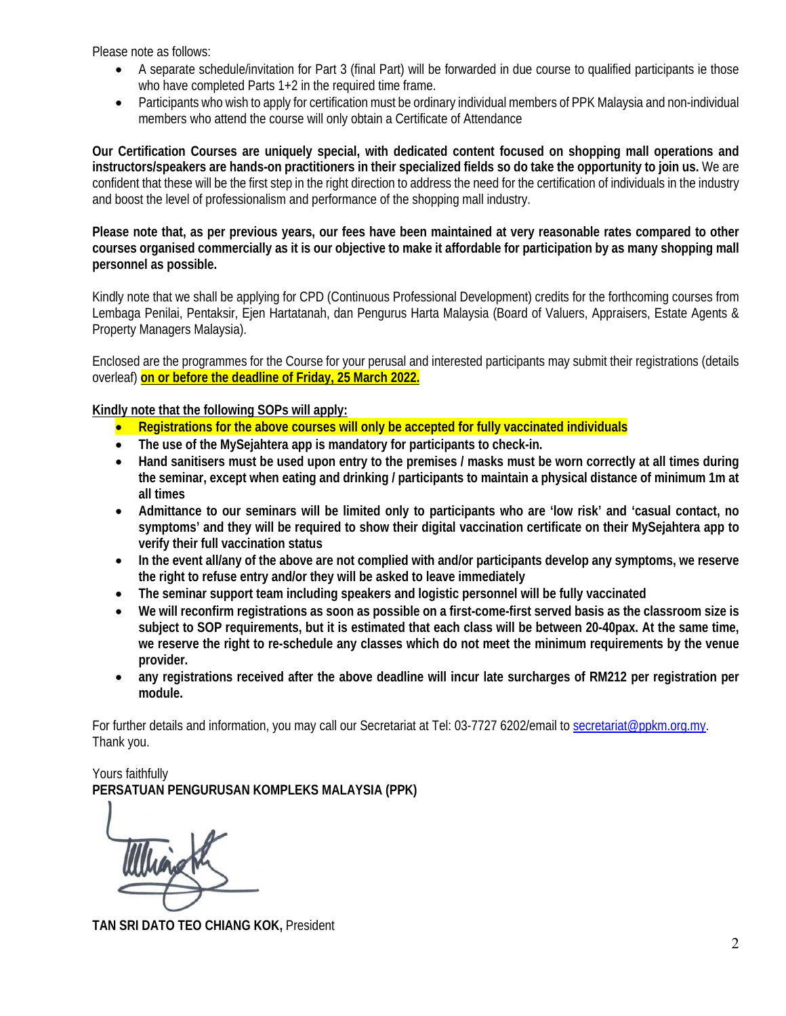Please note as follows:

- A separate schedule/invitation for Part 3 (final Part) will be forwarded in due course to qualified participants ie those who have completed Parts 1+2 in the required time frame.
- Participants who wish to apply for certification must be ordinary individual members of PPK Malaysia and non-individual members who attend the course will only obtain a Certificate of Attendance

**Our Certification Courses are uniquely special, with dedicated content focused on shopping mall operations and instructors/speakers are hands-on practitioners in their specialized fields so do take the opportunity to join us.** We are confident that these will be the first step in the right direction to address the need for the certification of individuals in the industry and boost the level of professionalism and performance of the shopping mall industry.

**Please note that, as per previous years, our fees have been maintained at very reasonable rates compared to other courses organised commercially as it is our objective to make it affordable for participation by as many shopping mall personnel as possible.**

Kindly note that we shall be applying for CPD (Continuous Professional Development) credits for the forthcoming courses from Lembaga Penilai, Pentaksir, Ejen Hartatanah, dan Pengurus Harta Malaysia (Board of Valuers, Appraisers, Estate Agents & Property Managers Malaysia).

Enclosed are the programmes for the Course for your perusal and interested participants may submit their registrations (details overleaf) **on or before the deadline of Friday, 25 March 2022.** 

**Kindly note that the following SOPs will apply:** 

- **Registrations for the above courses will only be accepted for fully vaccinated individuals**
- **The use of the MySejahtera app is mandatory for participants to check-in.**
- **Hand sanitisers must be used upon entry to the premises / masks must be worn correctly at all times during the seminar, except when eating and drinking / participants to maintain a physical distance of minimum 1m at all times**
- **Admittance to our seminars will be limited only to participants who are 'low risk' and 'casual contact, no symptoms' and they will be required to show their digital vaccination certificate on their MySejahtera app to verify their full vaccination status**
- **In the event all/any of the above are not complied with and/or participants develop any symptoms, we reserve the right to refuse entry and/or they will be asked to leave immediately**
- **The seminar support team including speakers and logistic personnel will be fully vaccinated**
- **We will reconfirm registrations as soon as possible on a first-come-first served basis as the classroom size is subject to SOP requirements, but it is estimated that each class will be between 20-40pax. At the same time, we reserve the right to re-schedule any classes which do not meet the minimum requirements by the venue provider.**
- **any registrations received after the above deadline will incur late surcharges of RM212 per registration per module.**

For further details and information, you may call our Secretariat at Tel: 03-7727 6202/email to secretariat@ppkm.org.my. Thank you.

Yours faithfully **PERSATUAN PENGURUSAN KOMPLEKS MALAYSIA (PPK)** 

**TAN SRI DATO TEO CHIANG KOK,** President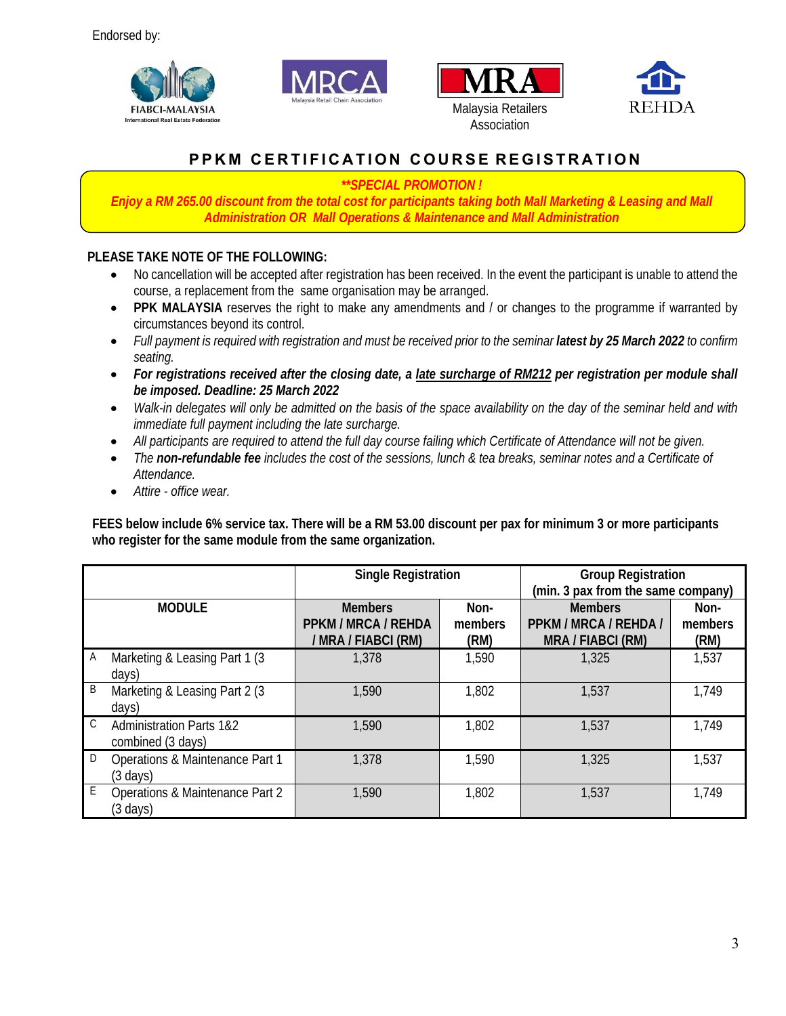







## **PPKM CERTIFICATION COURSE REGISTRATION**

## *\*\*SPECIAL PROMOTION !*

*Enjoy a RM 265.00 discount from the total cost for participants taking both Mall Marketing & Leasing and Mall Administration OR Mall Operations & Maintenance and Mall Administration*

## **PLEASE TAKE NOTE OF THE FOLLOWING:**

- No cancellation will be accepted after registration has been received. In the event the participant is unable to attend the course, a replacement from the same organisation may be arranged.
- **PPK MALAYSIA** reserves the right to make any amendments and / or changes to the programme if warranted by circumstances beyond its control.
- Full payment is required with registration and must be received prior to the seminar **latest by 25 March 2022** to confirm *seating.*
- *For registrations received after the closing date, a late surcharge of RM212 per registration per module shall be imposed. Deadline: 25 March 2022*
- *Walk-in delegates will only be admitted on the basis of the space availability on the day of the seminar held and with immediate full payment including the late surcharge.*
- *All participants are required to attend the full day course failing which Certificate of Attendance will not be given.*
- *The non-refundable fee includes the cost of the sessions, lunch & tea breaks, seminar notes and a Certificate of Attendance.*
- *Attire office wear.*

**FEES below include 6% service tax. There will be a RM 53.00 discount per pax for minimum 3 or more participants who register for the same module from the same organization.** 

|              |                                                          | <b>Single Registration</b>                                   |                         | <b>Group Registration</b><br>(min. 3 pax from the same company) |                         |
|--------------|----------------------------------------------------------|--------------------------------------------------------------|-------------------------|-----------------------------------------------------------------|-------------------------|
|              | <b>MODULE</b>                                            | <b>Members</b><br>PPKM / MRCA / REHDA<br>/ MRA / FIABCI (RM) | Non-<br>members<br>(RM) | <b>Members</b><br>PPKM / MRCA / REHDA /<br>MRA / FIABCI (RM)    | Non-<br>members<br>(RM) |
| A            | Marketing & Leasing Part 1 (3)<br>days)                  | 1,378                                                        | 1,590                   | 1,325                                                           | 1,537                   |
| B            | Marketing & Leasing Part 2 (3<br>days)                   | 1,590                                                        | 1,802                   | 1,537                                                           | 1,749                   |
| $\mathsf{C}$ | <b>Administration Parts 1&amp;2</b><br>combined (3 days) | 1,590                                                        | 1,802                   | 1,537                                                           | 1,749                   |
| D            | Operations & Maintenance Part 1<br>$(3 \text{ days})$    | 1,378                                                        | 1,590                   | 1,325                                                           | 1,537                   |
| E            | Operations & Maintenance Part 2<br>(3 days)              | 1,590                                                        | 1,802                   | 1,537                                                           | 1,749                   |